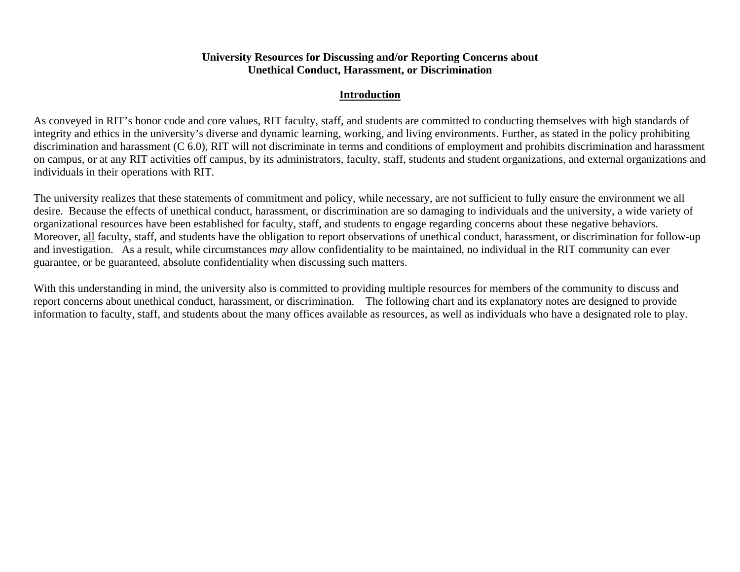# **University Resources for Discussing and/or Reporting Concerns about Unethical Conduct, Harassment, or Discrimination**

# **Introduction**

As conveyed in RIT's honor code and core values, RIT faculty, staff, and students are committed to conducting themselves with high standards of integrity and ethics in the university's diverse and dynamic learning, working, and living environments. Further, as stated in the policy prohibiting discrimination and harassment (C 6.0), RIT will not discriminate in terms and conditions of employment and prohibits discrimination and harassment on campus, or at any RIT activities off campus, by its administrators, faculty, staff, students and student organizations, and external organizations and individuals in their operations with RIT.

The university realizes that these statements of commitment and policy, while necessary, are not sufficient to fully ensure the environment we all desire. Because the effects of unethical conduct, harassment, or discrimination are so damaging to individuals and the university, a wide variety of organizational resources have been established for faculty, staff, and students to engage regarding concerns about these negative behaviors. Moreover, all faculty, staff, and students have the obligation to report observations of unethical conduct, harassment, or discrimination for follow-up and investigation. As a result, while circumstances *may* allow confidentiality to be maintained, no individual in the RIT community can ever guarantee, or be guaranteed, absolute confidentiality when discussing such matters.

With this understanding in mind, the university also is committed to providing multiple resources for members of the community to discuss and report concerns about unethical conduct, harassment, or discrimination. The following chart and its explanatory notes are designed to provide information to faculty, staff, and students about the many offices available as resources, as well as individuals who have a designated role to play.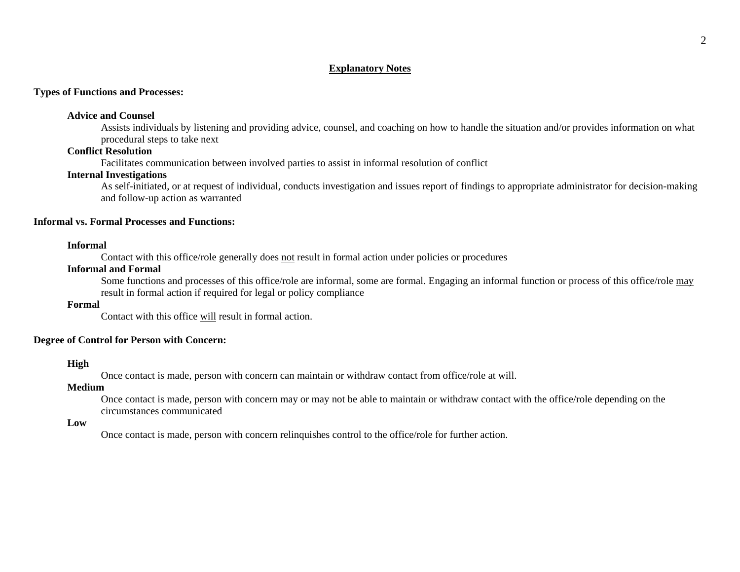## **Explanatory Notes**

## **Types of Functions and Processes:**

#### **Advice and Counsel**

Assists individuals by listening and providing advice, counsel, and coaching on how to handle the situation and/or provides information on what procedural steps to take next

## **Conflict Resolution**

Facilitates communication between involved parties to assist in informal resolution of conflict

## **Internal Investigations**

As self-initiated, or at request of individual, conducts investigation and issues report of findings to appropriate administrator for decision-making and follow-up action as warranted

## **Informal vs. Formal Processes and Functions:**

#### **Informal**

Contact with this office/role generally does not result in formal action under policies or procedures

### **Informal and Formal**

Some functions and processes of this office/role are informal, some are formal. Engaging an informal function or process of this office/role may result in formal action if required for legal or policy compliance

### **Formal**

Contact with this office will result in formal action.

## **Degree of Control for Person with Concern:**

### **High**

Once contact is made, person with concern can maintain or withdraw contact from office/role at will.

#### **Medium**

Once contact is made, person with concern may or may not be able to maintain or withdraw contact with the office/role depending on the circumstances communicated

### **Low**

Once contact is made, person with concern relinquishes control to the office/role for further action.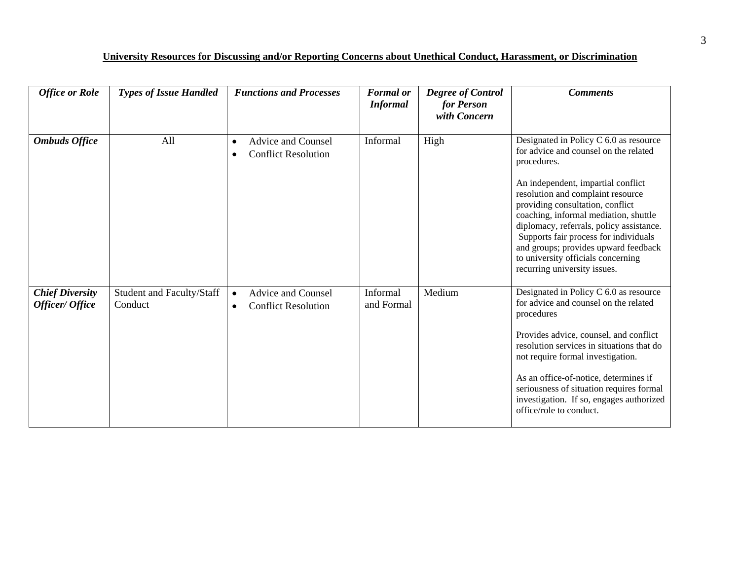# **University Resources for Discussing and/or Reporting Concerns about Unethical Conduct, Harassment, or Discrimination**

| <b>Office or Role</b>                     | <b>Types of Issue Handled</b>        | <b>Functions and Processes</b>                                                    | <b>Formal</b> or<br><b>Informal</b> | <b>Degree of Control</b><br>for Person<br>with Concern | <b>Comments</b>                                                                                                                                                                                                                                                                                                                                                                                                                                           |
|-------------------------------------------|--------------------------------------|-----------------------------------------------------------------------------------|-------------------------------------|--------------------------------------------------------|-----------------------------------------------------------------------------------------------------------------------------------------------------------------------------------------------------------------------------------------------------------------------------------------------------------------------------------------------------------------------------------------------------------------------------------------------------------|
| <b>Ombuds Office</b>                      | All                                  | <b>Advice and Counsel</b><br>$\bullet$<br><b>Conflict Resolution</b>              | Informal                            | High                                                   | Designated in Policy C 6.0 as resource<br>for advice and counsel on the related<br>procedures.<br>An independent, impartial conflict<br>resolution and complaint resource<br>providing consultation, conflict<br>coaching, informal mediation, shuttle<br>diplomacy, referrals, policy assistance.<br>Supports fair process for individuals<br>and groups; provides upward feedback<br>to university officials concerning<br>recurring university issues. |
| <b>Chief Diversity</b><br>Officer/ Office | Student and Faculty/Staff<br>Conduct | <b>Advice and Counsel</b><br>$\bullet$<br><b>Conflict Resolution</b><br>$\bullet$ | Informal<br>and Formal              | Medium                                                 | Designated in Policy C 6.0 as resource<br>for advice and counsel on the related<br>procedures<br>Provides advice, counsel, and conflict<br>resolution services in situations that do<br>not require formal investigation.<br>As an office-of-notice, determines if<br>seriousness of situation requires formal<br>investigation. If so, engages authorized<br>office/role to conduct.                                                                     |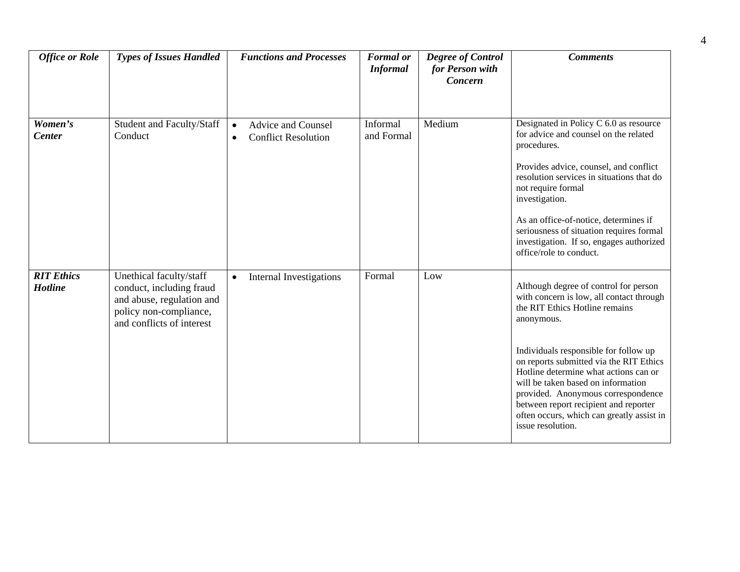| <b>Office or Role</b>               | <b>Types of Issues Handled</b>                                                                                                          | <b>Functions and Processes</b>                                                    | <b>Formal</b> or<br><b>Informal</b> | <b>Degree of Control</b><br>for Person with<br>Concern | <b>Comments</b>                                                                                                                                                                                                                                                                                                                                                                                                                                       |
|-------------------------------------|-----------------------------------------------------------------------------------------------------------------------------------------|-----------------------------------------------------------------------------------|-------------------------------------|--------------------------------------------------------|-------------------------------------------------------------------------------------------------------------------------------------------------------------------------------------------------------------------------------------------------------------------------------------------------------------------------------------------------------------------------------------------------------------------------------------------------------|
| Women's<br><b>Center</b>            | Student and Faculty/Staff<br>Conduct                                                                                                    | <b>Advice and Counsel</b><br>$\bullet$<br><b>Conflict Resolution</b><br>$\bullet$ | Informal<br>and Formal              | Medium                                                 | Designated in Policy C 6.0 as resource<br>for advice and counsel on the related<br>procedures.<br>Provides advice, counsel, and conflict<br>resolution services in situations that do<br>not require formal<br>investigation.<br>As an office-of-notice, determines if<br>seriousness of situation requires formal<br>investigation. If so, engages authorized<br>office/role to conduct.                                                             |
| <b>RIT Ethics</b><br><b>Hotline</b> | Unethical faculty/staff<br>conduct, including fraud<br>and abuse, regulation and<br>policy non-compliance,<br>and conflicts of interest | Internal Investigations<br>$\bullet$                                              | Formal                              | Low                                                    | Although degree of control for person<br>with concern is low, all contact through<br>the RIT Ethics Hotline remains<br>anonymous.<br>Individuals responsible for follow up<br>on reports submitted via the RIT Ethics<br>Hotline determine what actions can or<br>will be taken based on information<br>provided. Anonymous correspondence<br>between report recipient and reporter<br>often occurs, which can greatly assist in<br>issue resolution. |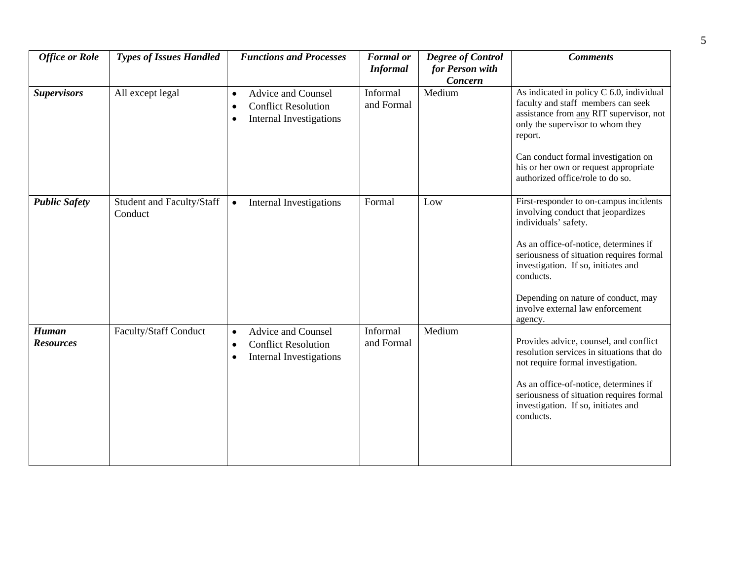| <b>Office or Role</b>            | <b>Types of Issues Handled</b>       | <b>Functions and Processes</b>                                                                                            | <b>Formal</b> or<br><b>Informal</b> | <b>Degree of Control</b><br>for Person with | <b>Comments</b>                                                                                                                                                                                                                                                                                                          |
|----------------------------------|--------------------------------------|---------------------------------------------------------------------------------------------------------------------------|-------------------------------------|---------------------------------------------|--------------------------------------------------------------------------------------------------------------------------------------------------------------------------------------------------------------------------------------------------------------------------------------------------------------------------|
| <b>Supervisors</b>               | All except legal                     | <b>Advice and Counsel</b><br>$\bullet$<br><b>Conflict Resolution</b><br>$\bullet$<br><b>Internal Investigations</b><br>٠  | Informal<br>and Formal              | Concern<br>Medium                           | As indicated in policy C 6.0, individual<br>faculty and staff members can seek<br>assistance from any RIT supervisor, not<br>only the supervisor to whom they<br>report.                                                                                                                                                 |
|                                  |                                      |                                                                                                                           |                                     |                                             | Can conduct formal investigation on<br>his or her own or request appropriate<br>authorized office/role to do so.                                                                                                                                                                                                         |
| <b>Public Safety</b>             | Student and Faculty/Staff<br>Conduct | Internal Investigations<br>$\bullet$                                                                                      | Formal                              | Low                                         | First-responder to on-campus incidents<br>involving conduct that jeopardizes<br>individuals' safety.<br>As an office-of-notice, determines if<br>seriousness of situation requires formal<br>investigation. If so, initiates and<br>conducts.<br>Depending on nature of conduct, may<br>involve external law enforcement |
| <b>Human</b><br><b>Resources</b> | <b>Faculty/Staff Conduct</b>         | <b>Advice and Counsel</b><br>$\bullet$<br><b>Conflict Resolution</b><br>$\bullet$<br>Internal Investigations<br>$\bullet$ | Informal<br>and Formal              | Medium                                      | agency.<br>Provides advice, counsel, and conflict<br>resolution services in situations that do<br>not require formal investigation.<br>As an office-of-notice, determines if<br>seriousness of situation requires formal<br>investigation. If so, initiates and<br>conducts.                                             |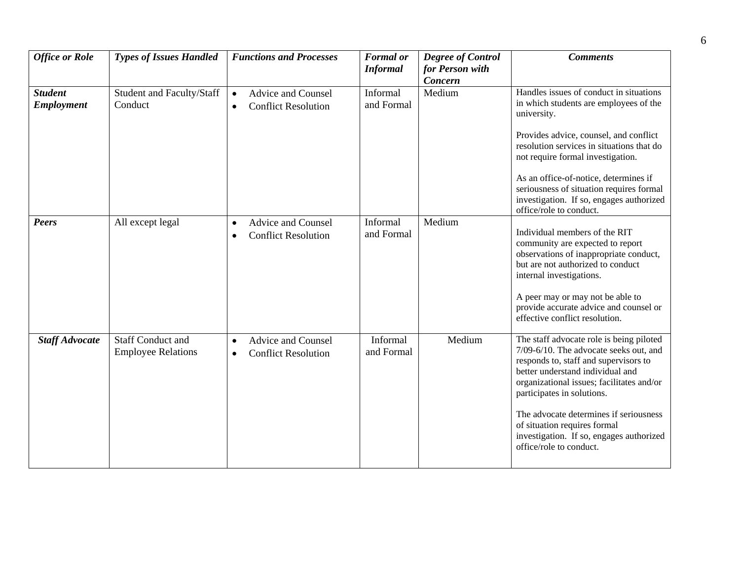| <b>Office or Role</b>               | <b>Types of Issues Handled</b>                        | <b>Functions and Processes</b>                                                    | <b>Formal</b> or<br><b>Informal</b> | <b>Degree of Control</b><br>for Person with | <b>Comments</b>                                                                                                                                                                                                                                                                                                                                                                             |
|-------------------------------------|-------------------------------------------------------|-----------------------------------------------------------------------------------|-------------------------------------|---------------------------------------------|---------------------------------------------------------------------------------------------------------------------------------------------------------------------------------------------------------------------------------------------------------------------------------------------------------------------------------------------------------------------------------------------|
|                                     |                                                       |                                                                                   |                                     | Concern                                     |                                                                                                                                                                                                                                                                                                                                                                                             |
| <b>Student</b><br><b>Employment</b> | Student and Faculty/Staff<br>Conduct                  | <b>Advice and Counsel</b><br>$\bullet$<br><b>Conflict Resolution</b><br>$\bullet$ | Informal<br>and Formal              | Medium                                      | Handles issues of conduct in situations<br>in which students are employees of the<br>university.<br>Provides advice, counsel, and conflict<br>resolution services in situations that do<br>not require formal investigation.<br>As an office-of-notice, determines if<br>seriousness of situation requires formal<br>investigation. If so, engages authorized<br>office/role to conduct.    |
| <b>Peers</b>                        | All except legal                                      | Advice and Counsel<br>$\bullet$<br><b>Conflict Resolution</b><br>$\bullet$        | Informal<br>and Formal              | Medium                                      | Individual members of the RIT<br>community are expected to report<br>observations of inappropriate conduct,<br>but are not authorized to conduct<br>internal investigations.<br>A peer may or may not be able to<br>provide accurate advice and counsel or<br>effective conflict resolution.                                                                                                |
| <b>Staff Advocate</b>               | <b>Staff Conduct and</b><br><b>Employee Relations</b> | <b>Advice and Counsel</b><br>$\bullet$<br><b>Conflict Resolution</b><br>$\bullet$ | Informal<br>and Formal              | Medium                                      | The staff advocate role is being piloted<br>7/09-6/10. The advocate seeks out, and<br>responds to, staff and supervisors to<br>better understand individual and<br>organizational issues; facilitates and/or<br>participates in solutions.<br>The advocate determines if seriousness<br>of situation requires formal<br>investigation. If so, engages authorized<br>office/role to conduct. |